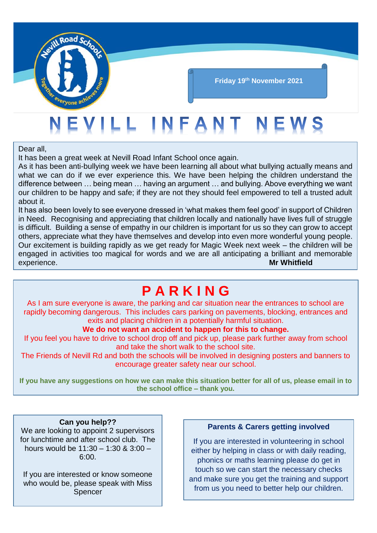

#### **Friday 19th November 2021**

# EVILL INFANT NEWS

Dear all,

It has been a great week at Nevill Road Infant School once again.

As it has been anti-bullying week we have been learning all about what bullying actually means and what we can do if we ever experience this. We have been helping the children understand the difference between … being mean … having an argument … and bullying. Above everything we want our children to be happy and safe; if they are not they should feel empowered to tell a trusted adult about it.

It has also been lovely to see everyone dressed in 'what makes them feel good' in support of Children in Need. Recognising and appreciating that children locally and nationally have lives full of struggle is difficult. Building a sense of empathy in our children is important for us so they can grow to accept others, appreciate what they have themselves and develop into even more wonderful young people. Our excitement is building rapidly as we get ready for Magic Week next week – the children will be engaged in activities too magical for words and we are all anticipating a brilliant and memorable experience. **Mr Whitfield**

### **P A R K I N G**

As I am sure everyone is aware, the parking and car situation near the entrances to school are rapidly becoming dangerous. This includes cars parking on pavements, blocking, entrances and exits and placing children in a potentially harmful situation.

#### **We do not want an accident to happen for this to change.**

If you feel you have to drive to school drop off and pick up, please park further away from school and take the short walk to the school site.

The Friends of Nevill Rd and both the schools will be involved in designing posters and banners to encourage greater safety near our school.

**If you have any suggestions on how we can make this situation better for all of us, please email in to the school office – thank you.**

#### **Can you help??**

We are looking to appoint 2 supervisors for lunchtime and after school club. The hours would be 11:30 – 1:30 & 3:00 – 6:00.

If you are interested or know someone who would be, please speak with Miss Spencer

#### **Parents & Carers getting involved**

If you are interested in volunteering in school either by helping in class or with daily reading, phonics or maths learning please do get in touch so we can start the necessary checks and make sure you get the training and support from us you need to better help our children.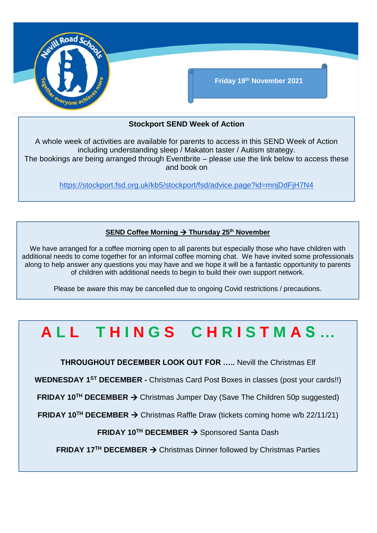

#### **Stockport SEND Week of Action**

A whole week of activities are available for parents to access in this SEND Week of Action including understanding sleep / Makaton taster / Autism strategy. The bookings are being arranged through Eventbrite – please use the link below to access these and book on

<https://stockport.fsd.org.uk/kb5/stockport/fsd/advice.page?id=mnjDdFjH7N4>

#### **SEND Coffee Morning → Thursday 25<sup>th</sup> November**

We have arranged for a coffee morning open to all parents but especially those who have children with additional needs to come together for an informal coffee morning chat. We have invited some professionals along to help answer any questions you may have and we hope it will be a fantastic opportunity to parents of children with additional needs to begin to build their own support network.

Please be aware this may be cancelled due to ongoing Covid restrictions / precautions.

## **A L L T H I N G S C H R I S T M A S …**

**THROUGHOUT DECEMBER LOOK OUT FOR …..** Nevill the Christmas Elf

**WEDNESDAY 1ST DECEMBER -** Christmas Card Post Boxes in classes (post your cards!!)

**FRIDAY 10<sup>™</sup> DECEMBER → Christmas Jumper Day (Save The Children 50p suggested)** 

**FRIDAY 10<sup>TH</sup> DECEMBER → Christmas Raffle Draw (tickets coming home w/b 22/11/21)** 

**FRIDAY 10TH DECEMBER**  Sponsored Santa Dash

**FRIDAY 17<sup>™</sup> DECEMBER → Christmas Dinner followed by Christmas Parties**